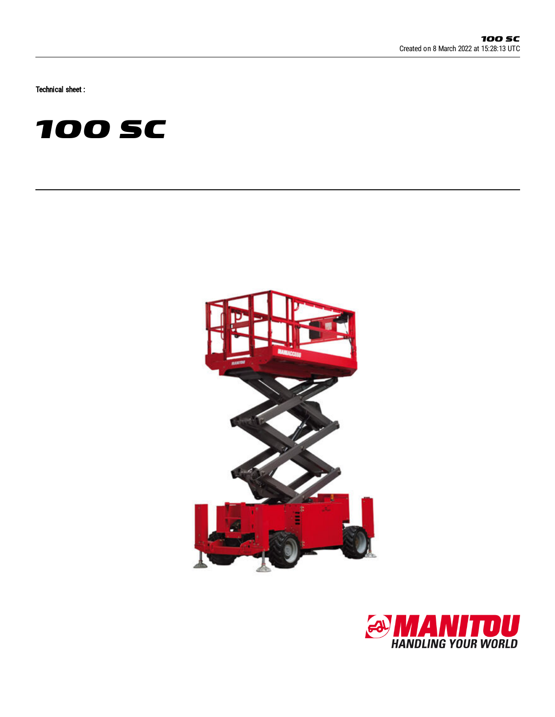Technical sheet :





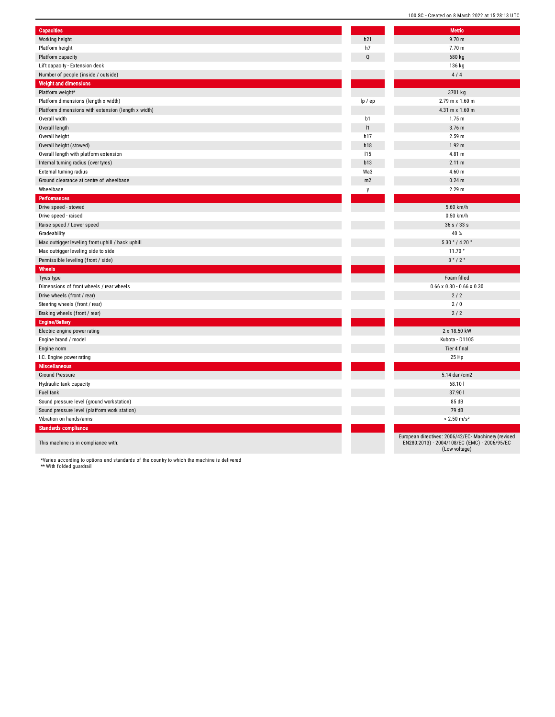| <b>Capacities</b>                                   |                | <b>Metric</b>                                                            |
|-----------------------------------------------------|----------------|--------------------------------------------------------------------------|
| Working height                                      | h21            | 9.70 m                                                                   |
| Platform height                                     | h7             | 7.70 m                                                                   |
| Platform capacity                                   | $\mathbf Q$    | 680 kg                                                                   |
| Lift capacity - Extension deck                      |                | 136 kg                                                                   |
| Number of people (inside / outside)                 |                | 4/4                                                                      |
| <b>Weight and dimensions</b>                        |                |                                                                          |
| Platform weight*                                    |                | 3701 kg                                                                  |
| Platform dimensions (length x width)                | lp / ep        | 2.79 m x 1.60 m                                                          |
| Platform dimensions with extension (length x width) |                | $4.31 \text{ m} \times 1.60 \text{ m}$                                   |
| Overall width                                       | b1             | 1.75 m                                                                   |
| Overall length                                      | 1              | 3.76 m                                                                   |
| Overall height                                      | h17            | 2.59 m                                                                   |
| Overall height (stowed)                             | h18            | 1.92 <sub>m</sub>                                                        |
| Overall length with platform extension              | 115            | 4.81 m                                                                   |
| Internal turning radius (over tyres)                | b13            | 2.11 m                                                                   |
| External turning radius                             | Wa3            | 4.60 <sub>m</sub>                                                        |
| Ground clearance at centre of wheelbase             | m <sub>2</sub> | $0.24 \text{ m}$                                                         |
| Wheelbase                                           | y              | 2.29 m                                                                   |
| <b>Performances</b>                                 |                |                                                                          |
| Drive speed - stowed                                |                | 5.60 km/h                                                                |
| Drive speed - raised                                |                | $0.50$ km/h                                                              |
| Raise speed / Lower speed                           |                | 36 s / 33 s                                                              |
| Gradeability                                        |                | 40 %                                                                     |
| Max outrigger leveling front uphill / back uphill   |                | 5.30 ° / 4.20 °                                                          |
| Max outrigger leveling side to side                 |                | 11.70°                                                                   |
| Permissible leveling (front / side)                 |                | 3°/2°                                                                    |
| Wheels                                              |                |                                                                          |
| Tyres type                                          |                | Foam-filled                                                              |
| Dimensions of front wheels / rear wheels            |                | $0.66 \times 0.30 - 0.66 \times 0.30$                                    |
| Drive wheels (front / rear)                         |                | 2/2                                                                      |
| Steering wheels (front / rear)                      |                | 2/0                                                                      |
| Braking wheels (front / rear)                       |                | 2/2                                                                      |
| <b>Engine/Battery</b>                               |                |                                                                          |
| Electric engine power rating                        |                | 2 x 18.50 kW                                                             |
| Engine brand / model                                |                | Kubota - D1105                                                           |
| Engine norm                                         |                | Tier 4 final                                                             |
| I.C. Engine power rating                            |                | 25 Hp                                                                    |
| <b>Miscellaneous</b>                                |                |                                                                          |
| <b>Ground Pressure</b>                              |                | 5.14 dan/cm2                                                             |
| Hydraulic tank capacity                             |                | 68.10                                                                    |
| Fuel tank                                           |                | 37.901                                                                   |
| Sound pressure level (ground workstation)           |                | 85 dB                                                                    |
| Sound pressure level (platform work station)        |                | 79 dB                                                                    |
| Vibration on hands/arms                             |                | $< 2.50$ m/s <sup>2</sup>                                                |
|                                                     |                |                                                                          |
| <b>Standards compliance</b>                         |                |                                                                          |
| This machine is in compliance with:                 |                | European directives: 2006/42/EC-Mac<br>EN280:2013) - 2004/108/EC (EMC) - |
|                                                     |                |                                                                          |

| <b>Metric</b>                                                                                                        |
|----------------------------------------------------------------------------------------------------------------------|
| 9.70 <sub>m</sub>                                                                                                    |
| 7.70 m                                                                                                               |
| 680 kg                                                                                                               |
| 136 kg                                                                                                               |
| 4/4                                                                                                                  |
|                                                                                                                      |
| 3701 kg                                                                                                              |
| 2.79 m x 1.60 m                                                                                                      |
| 4.31 m x 1.60 m                                                                                                      |
| 1.75 m                                                                                                               |
| 3.76 <sub>m</sub>                                                                                                    |
| 2.59 <sub>m</sub>                                                                                                    |
| 1.92 <sub>m</sub>                                                                                                    |
| 4.81 m                                                                                                               |
| 2.11 m<br>4.60 <sub>m</sub>                                                                                          |
| 0.24 <sub>m</sub>                                                                                                    |
| 2.29 m                                                                                                               |
|                                                                                                                      |
| 5.60 km/h                                                                                                            |
| $0.50$ km/h                                                                                                          |
| 36 s / 33 s                                                                                                          |
| 40 %                                                                                                                 |
| 5.30 °/4.20 °                                                                                                        |
| 11.70°                                                                                                               |
| 3°/2°                                                                                                                |
|                                                                                                                      |
| Foam-filled                                                                                                          |
| $0.66 \times 0.30 - 0.66 \times 0.30$                                                                                |
| 2/2                                                                                                                  |
| 2/0                                                                                                                  |
| 2/2                                                                                                                  |
|                                                                                                                      |
| 2 x 18.50 kW                                                                                                         |
| Kubota - D1105                                                                                                       |
| Tier 4 final                                                                                                         |
| 25 Hp                                                                                                                |
|                                                                                                                      |
| 5.14 dan/cm2                                                                                                         |
| 68.101                                                                                                               |
| 37.901                                                                                                               |
| 85 dB                                                                                                                |
| 79 dB                                                                                                                |
| $< 2.50$ m/s <sup>2</sup>                                                                                            |
|                                                                                                                      |
| European directives: 2006/42/EC- Machinery (revised<br>EN280:2013) - 2004/108/EC (EMC) - 2006/95/EC<br>(Low voltage) |

\*Varies according to options and standards of the country to which the machine is delivered \*\* With folded guardrail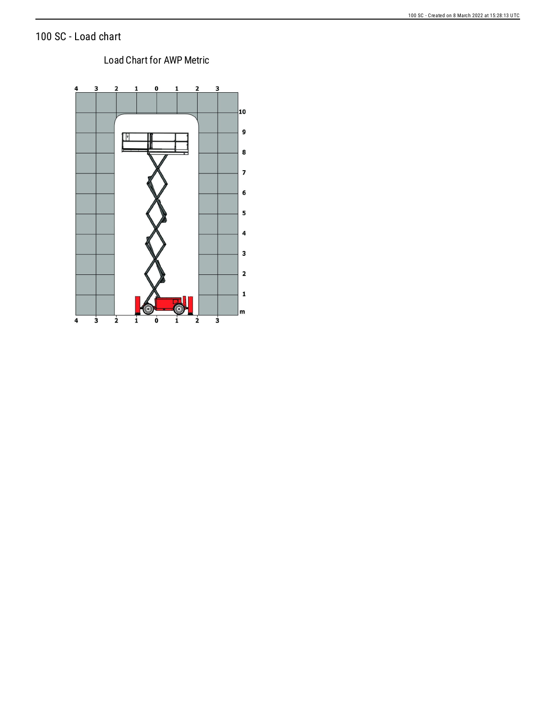## 100 SC - Load chart

## Load Chart for AWP Metric

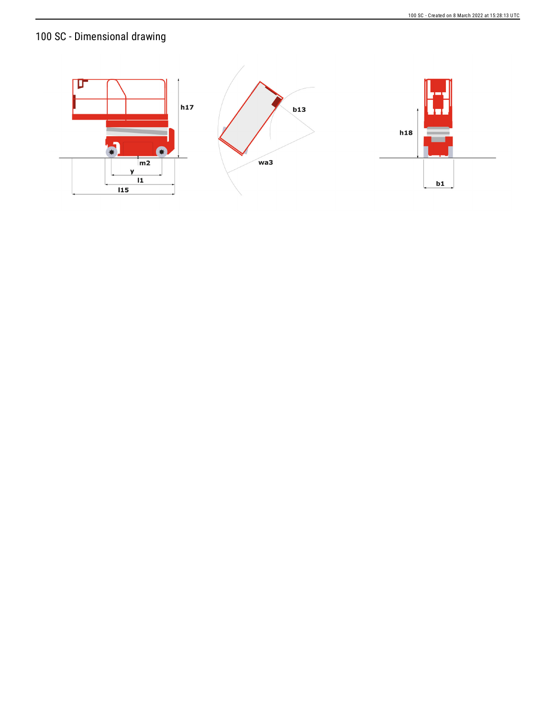# 100 SC - Dimensional drawing

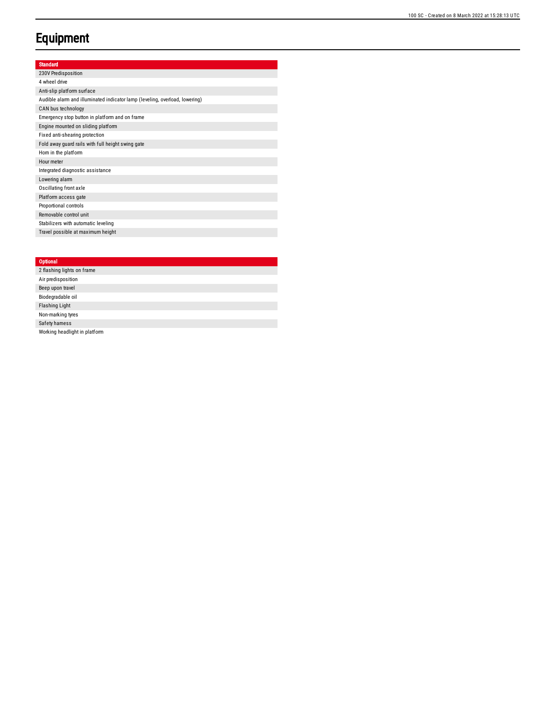# **Equipment**

### Standard

| 230V Predisposition                                                         |
|-----------------------------------------------------------------------------|
| 4 wheel drive                                                               |
| Anti-slip platform surface                                                  |
| Audible alarm and illuminated indicator lamp (leveling, overload, lowering) |
| CAN bus technology                                                          |
| Emergency stop button in platform and on frame                              |
| Engine mounted on sliding platform                                          |
| Fixed anti-shearing protection                                              |
| Fold away guard rails with full height swing gate                           |
| Horn in the platform                                                        |
| Hour meter                                                                  |
| Integrated diagnostic assistance                                            |
| Lowering alarm                                                              |
| Oscillating front axle                                                      |
| Platform access gate                                                        |
| Proportional controls                                                       |
| Removable control unit                                                      |
| Stabilizers with automatic leveling                                         |
| Travel possible at maximum height                                           |

### **Optional**

| 2 flashing lights on frame    |
|-------------------------------|
| Air predisposition            |
| Beep upon travel              |
| Biodegradable oil             |
| <b>Flashing Light</b>         |
| Non-marking tyres             |
| Safety hamess                 |
| Working headlight in platform |